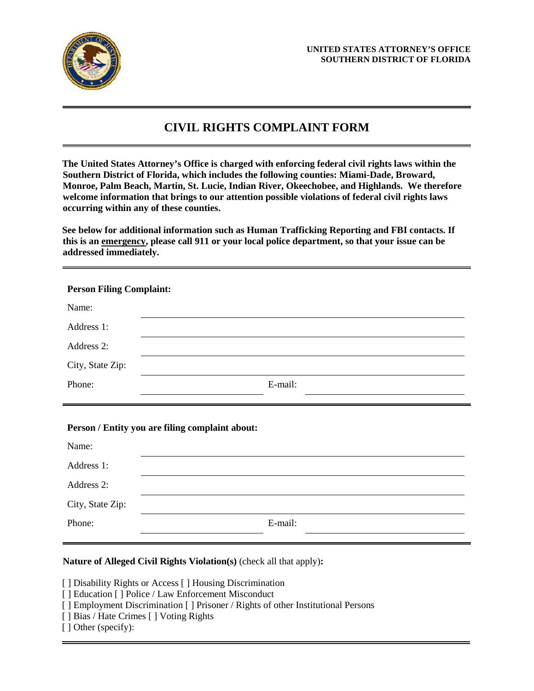

# **CIVIL RIGHTS COMPLAINT FORM**

**The United States Attorney's Office is charged with enforcing federal civil rights laws within the Southern District of Florida, which includes the following counties: Miami-Dade, Broward, Monroe, Palm Beach, Martin, St. Lucie, Indian River, Okeechobee, and Highlands. We therefore welcome information that brings to our attention possible violations of federal civil rights laws occurring within any of these counties.**

**See below for additional information such as Human Trafficking Reporting and FBI contacts. If this is an emergency, please call 911 or your local police department, so that your issue can be addressed immediately.**

| <b>Person Filing Complaint:</b> |         |  |
|---------------------------------|---------|--|
| Name:                           |         |  |
| Address 1:                      |         |  |
| Address 2:                      |         |  |
| City, State Zip:                |         |  |
| Phone:                          | E-mail: |  |

## **Person / Entity you are filing complaint about:**

| Name:            |         |
|------------------|---------|
| Address 1:       |         |
| Address 2:       |         |
| City, State Zip: |         |
| Phone:           | E-mail: |

## **Nature of Alleged Civil Rights Violation(s)** (check all that apply)**:**

[ ] Disability Rights or Access [ ] Housing Discrimination

- [ ] Education [ ] Police / Law Enforcement Misconduct
- [ ] Employment Discrimination [ ] Prisoner / Rights of other Institutional Persons
- [ ] Bias / Hate Crimes [ ] Voting Rights
- [ ] Other (specify):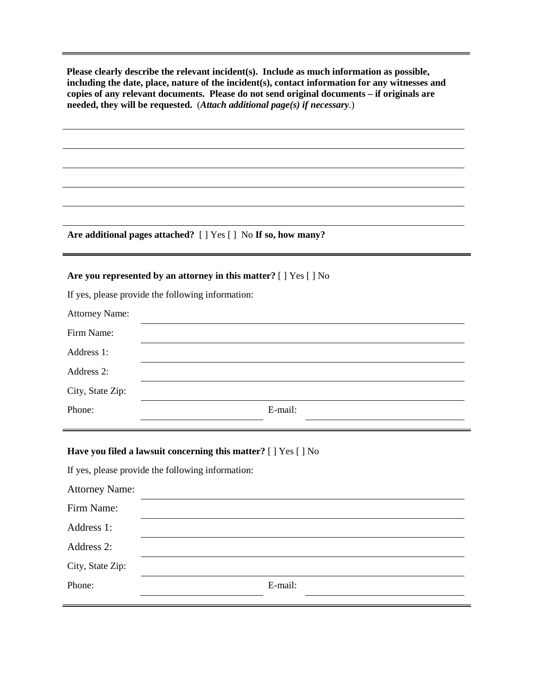**Please clearly describe the relevant incident(s). Include as much information as possible, including the date, place, nature of the incident(s), contact information for any witnesses and copies of any relevant documents. Please do not send original documents – if originals are needed, they will be requested.** (*Attach additional page(s) if necessary*.)

**Are additional pages attached?** [ ] Yes [ ] No **If so, how many?**

#### **Are you represented by an attorney in this matter?** [ ] Yes [ ] No

If yes, please provide the following information:

| <b>Attorney Name:</b> |         |
|-----------------------|---------|
| Firm Name:            |         |
| Address 1:            |         |
| Address 2:            |         |
| City, State Zip:      |         |
| Phone:                | E-mail: |

#### **Have you filed a lawsuit concerning this matter?** [ ] Yes [ ] No

If yes, please provide the following information:

| <b>Attorney Name:</b> |         |
|-----------------------|---------|
| Firm Name:            |         |
| Address 1:            |         |
| Address 2:            |         |
| City, State Zip:      |         |
| Phone:                | E-mail: |
|                       |         |